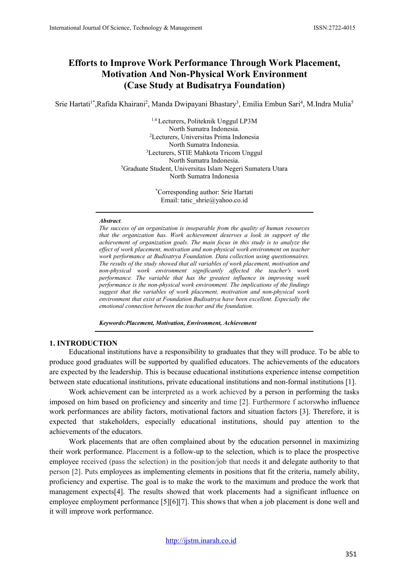# **Efforts to Improve Work Performance Through Work Placement, Motivation And Non-Physical Work Environment (Case Study at Budisatrya Foundation)**

Srie Hartati<sup>1\*</sup>,Rafida Khairani<sup>2</sup>, Manda Dwipayani Bhastary<sup>3</sup>, Emilia Embun Sari<sup>4</sup>, M.Indra Mulia<sup>5</sup>

1.4 Lecturers, Politeknik Unggul LP3M North Sumatra Indonesia. 2 Lecturers, Universitas Prima Indonesia North Sumatra Indonesia. 3 Lecturers, STIE Mahkota Tricom Unggul North Sumatra Indonesia. 5 Graduate Student, Universitas Islam Negeri Sumatera Utara North Sumatra Indonesia

> \* Corresponding author: Srie Hartati Email: tatic\_shrie@yahoo.co.id

#### *Abstract.*

*The success of an organization is inseparable from the quality of human resources that the organization has. Work achievement deserves a look in support of the achievement of organization goals. The main focus in this study is to analyze the effect of work placement, motivation and non-physical work environment on teacher work performance at Budisatrya Foundation. Data collection using questionnaires. The results of the study showed that all variables of work placement, motivation and non-physical work environment significantly affected the teacher's work performance. The variable that has the greatest influence in improving work performance is the non-physical work environment. The implications of the findings suggest that the variables of work placement, motivation and non-physical work environment that exist at Foundation Budisatrya have been excellent. Especially the emotional connection between the teacher and the foundation.*

*Keywords:Placement, Motivation, Environment, Achievement*

#### **1. INTRODUCTION**

Educational institutions have a responsibility to graduates that they will produce. To be able to produce good graduates will be supported by qualified educators. The achievements of the educators are expected by the leadership. This is because educational institutions experience intense competition between state educational institutions, private educational institutions and non-formal institutions [1].

Work achievement can be interpreted as a work achieved by a person in performing the tasks imposed on him based on proficiency and sincerity and time [2]. Furthermore f actorswho influence work performances are ability factors, motivational factors and situation factors [3]. Therefore, it is expected that stakeholders, especially educational institutions, should pay attention to the achievements of the educators.

Work placements that are often complained about by the education personnel in maximizing their work performance. Placement is a follow-up to the selection, which is to place the prospective employee received (pass the selection) in the position/job that needs it and delegate authority to that person [2]. Puts employees as implementing elements in positions that fit the criteria, namely ability, proficiency and expertise. The goal is to make the work to the maximum and produce the work that management expects[4]. The results showed that work placements had a significant influence on employee employment performance [5][6][7]. This shows that when a job placement is done well and it will improve work performance.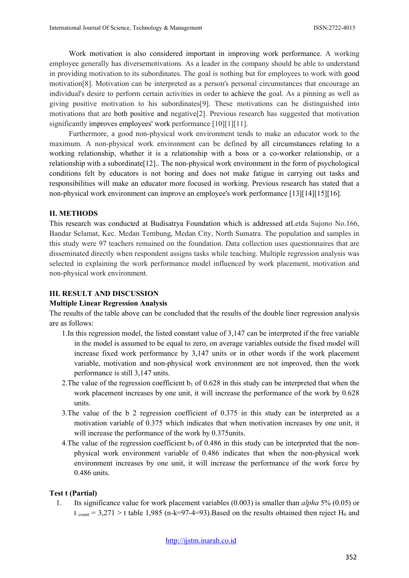Work motivation is also considered important in improving work performance. A working employee generally has diversemotivations. As a leader in the company should be able to understand in providing motivation to its subordinates. The goal is nothing but for employees to work with good motivation[8]. Motivation can be interpreted as a person's personal circumstances that encourage an individual's desire to perform certain activities in order to achieve the goal. As a pinning as well as giving positive motivation to his subordinates[9]. These motivations can be distinguished into motivations that are both positive and negative[2]. Previous research has suggested that motivation significantly improves employees' work performance [10][1][11].

Furthermore, a good non-physical work environment tends to make an educator work to the maximum. A non-physical work environment can be defined by all circumstances relating to a working relationship, whether it is a relationship with a boss or a co-worker relationship, or a relationship with a subordinate[12].. The non-physical work environment in the form of psychological conditions felt by educators is not boring and does not make fatigue in carrying out tasks and responsibilities will make an educator more focused in working. Previous research has stated that a non-physical work environment can improve an employee's work performance [13][14][15][16].

#### **II. METHODS**

This research was conducted at Budisatrya Foundation which is addressed atLetda Sujono No.166, Bandar Selamat, Kec. Medan Tembung, Medan City, North Sumatra. The population and samples in this study were 97 teachers remained on the foundation. Data collection uses questionnaires that are disseminated directly when respondent assigns tasks while teaching. Multiple regression analysis was selected in explaining the work performance model influenced by work placement, motivation and non-physical work environment.

#### **III. RESULT AND DISCUSSION**

#### **Multiple Linear Regression Analysis**

The results of the table above can be concluded that the results of the double liner regression analysis are as follows:

- 1.In this regression model, the listed constant value of 3,147 can be interpreted if the free variable in the model is assumed to be equal to zero, on average variables outside the fixed model will increase fixed work performance by 3,147 units or in other words if the work placement variable, motivation and non-physical work environment are not improved, then the work performance is still 3,147 units.
- 2. The value of the regression coefficient  $b_1$  of 0.628 in this study can be interpreted that when the work placement increases by one unit, it will increase the performance of the work by 0.628 units.
- 3.The value of the b 2 regression coefficient of 0.375 in this study can be interpreted as a motivation variable of 0.375 which indicates that when motivation increases by one unit, it will increase the performance of the work by 0.375 units.
- 4. The value of the regression coefficient  $b_3$  of 0.486 in this study can be interpreted that the nonphysical work environment variable of 0.486 indicates that when the non-physical work environment increases by one unit, it will increase the performance of the work force by 0.486 units.

#### **Test t (Partial)**

1. Its significance value for work placement variables (0.003) is smaller than *alpha* 5% (0.05) or  $t_{\text{count}} = 3,271 > t$  table 1,985 (n-k=97-4=93). Based on the results obtained then reject H<sub>0</sub> and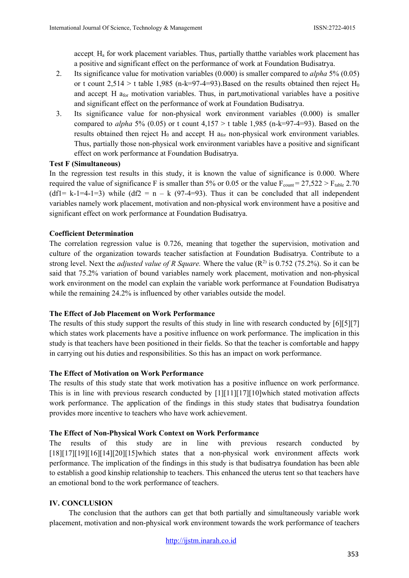accept. Ha for work placement variables. Thus, partially thatthe variables work placement has a positive and significant effect on the performance of work at Foundation Budisatrya.

- 2. Its significance value for motivation variables (0.000) is smaller compared to *alpha* 5% (0.05) or t count  $2,514 > t$  table 1,985 (n-k=97-4=93). Based on the results obtained then reject H<sub>0</sub> and accept. H afor motivation variables. Thus, in part,motivational variables have a positive and significant effect on the performance of work at Foundation Budisatrya.
- 3. Its significance value for non-physical work environment variables (0.000) is smaller compared to *alpha* 5% (0.05) or t count 4,157 > t table 1,985 (n-k=97-4=93). Based on the results obtained then reject  $H_0$  and accept. H  $a_{for}$  non-physical work environment variables. Thus, partially those non-physical work environment variables have a positive and significant effect on work performance at Foundation Budisatrya.

### **Test F (Simultaneous)**

In the regression test results in this study, it is known the value of significance is 0.000. Where required the value of significance F is smaller than 5% or 0.05 or the value  $F_{count} = 27,522 > F_{table}$  2.70 (df1= k-1=4-1=3) while (df2 =  $n - k$  (97-4=93). Thus it can be concluded that all independent variables namely work placement, motivation and non-physical work environment have a positive and significant effect on work performance at Foundation Budisatrya.

### **Coefficient Determination**

The correlation regression value is 0.726, meaning that together the supervision, motivation and culture of the organization towards teacher satisfaction at Foundation Budisatrya. Contribute to a strong level. Next the *adjusted value of R Square*. Where the value  $(R^2)$  is 0.752 (75.2%). So it can be said that 75.2% variation of bound variables namely work placement, motivation and non-physical work environment on the model can explain the variable work performance at Foundation Budisatrya while the remaining 24.2% is influenced by other variables outside the model.

### **The Effect of Job Placement on Work Performance**

The results of this study support the results of this study in line with research conducted by [6][5][7] which states work placements have a positive influence on work performance. The implication in this study is that teachers have been positioned in their fields. So that the teacher is comfortable and happy in carrying out his duties and responsibilities. So this has an impact on work performance.

### **The Effect of Motivation on Work Performance**

The results of this study state that work motivation has a positive influence on work performance. This is in line with previous research conducted by [1][11][17][10]which stated motivation affects work performance. The application of the findings in this study states that budisatrya foundation provides more incentive to teachers who have work achievement.

### **The Effect of Non-Physical Work Context on Work Performance**

The results of this study are in line with previous research conducted by [18][17][19][16][14][20][15]which states that a non-physical work environment affects work performance. The implication of the findings in this study is that budisatrya foundation has been able to establish a good kinship relationship to teachers. This enhanced the uterus tent so that teachers have an emotional bond to the work performance of teachers.

## **IV. CONCLUSION**

The conclusion that the authors can get that both partially and simultaneously variable work placement, motivation and non-physical work environment towards the work performance of teachers